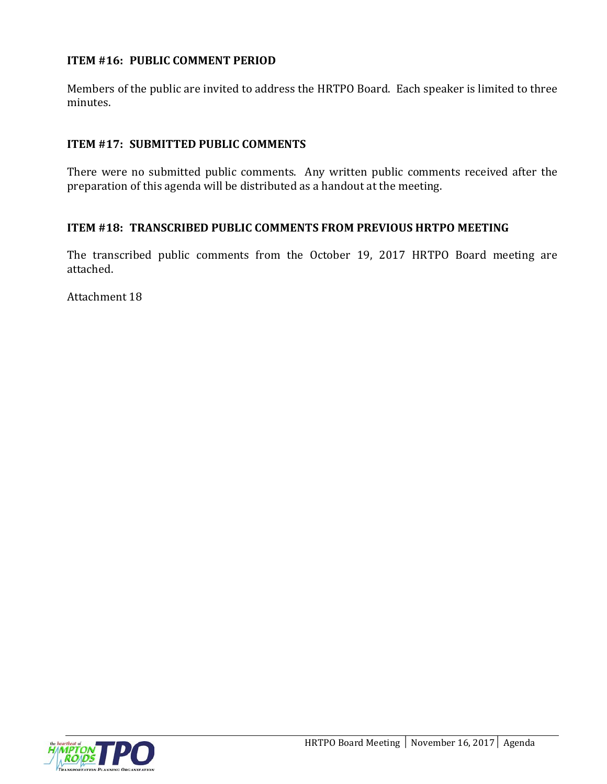# **ITEM #16: PUBLIC COMMENT PERIOD**

Members of the public are invited to address the HRTPO Board. Each speaker is limited to three minutes.

# **ITEM #17: SUBMITTED PUBLIC COMMENTS**

There were no submitted public comments. Any written public comments received after the preparation of this agenda will be distributed as a handout at the meeting.

## **ITEM #18: TRANSCRIBED PUBLIC COMMENTS FROM PREVIOUS HRTPO MEETING**

The transcribed public comments from the October 19, 2017 HRTPO Board meeting are attached.

Attachment 18